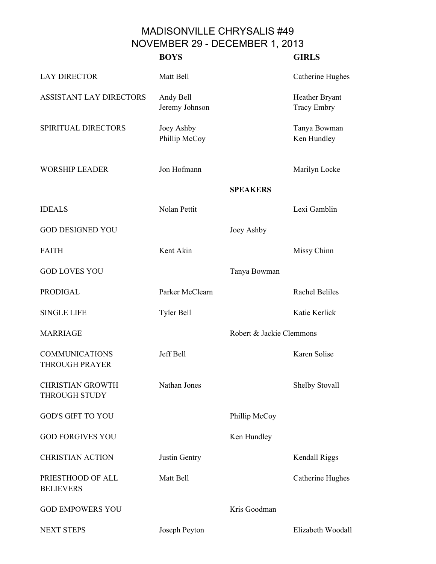## MADISONVILLE CHRYSALIS #49 NOVEMBER 29 - DECEMBER 1, 2013

|                                                 | <b>BOYS</b>                 |                          | <b>GIRLS</b>                         |
|-------------------------------------------------|-----------------------------|--------------------------|--------------------------------------|
| <b>LAY DIRECTOR</b>                             | Matt Bell                   |                          | Catherine Hughes                     |
| <b>ASSISTANT LAY DIRECTORS</b>                  | Andy Bell<br>Jeremy Johnson |                          | Heather Bryant<br><b>Tracy Embry</b> |
| SPIRITUAL DIRECTORS                             | Joey Ashby<br>Phillip McCoy |                          | Tanya Bowman<br>Ken Hundley          |
| <b>WORSHIP LEADER</b>                           | Jon Hofmann                 |                          | Marilyn Locke                        |
|                                                 |                             | <b>SPEAKERS</b>          |                                      |
| <b>IDEALS</b>                                   | Nolan Pettit                |                          | Lexi Gamblin                         |
| <b>GOD DESIGNED YOU</b>                         |                             | Joey Ashby               |                                      |
| <b>FAITH</b>                                    | Kent Akin                   |                          | Missy Chinn                          |
| <b>GOD LOVES YOU</b>                            |                             | Tanya Bowman             |                                      |
| <b>PRODIGAL</b>                                 | Parker McClearn             |                          | <b>Rachel Beliles</b>                |
| <b>SINGLE LIFE</b>                              | Tyler Bell                  |                          | Katie Kerlick                        |
| <b>MARRIAGE</b>                                 |                             | Robert & Jackie Clemmons |                                      |
| <b>COMMUNICATIONS</b><br><b>THROUGH PRAYER</b>  | Jeff Bell                   |                          | Karen Solise                         |
| <b>CHRISTIAN GROWTH</b><br><b>THROUGH STUDY</b> | Nathan Jones                |                          | Shelby Stovall                       |
| <b>GOD'S GIFT TO YOU</b>                        |                             | Phillip McCoy            |                                      |
| <b>GOD FORGIVES YOU</b>                         |                             | Ken Hundley              |                                      |
| <b>CHRISTIAN ACTION</b>                         | Justin Gentry               |                          | Kendall Riggs                        |
| PRIESTHOOD OF ALL<br><b>BELIEVERS</b>           | Matt Bell                   |                          | Catherine Hughes                     |
| <b>GOD EMPOWERS YOU</b>                         |                             | Kris Goodman             |                                      |
| <b>NEXT STEPS</b>                               | Joseph Peyton               |                          | Elizabeth Woodall                    |